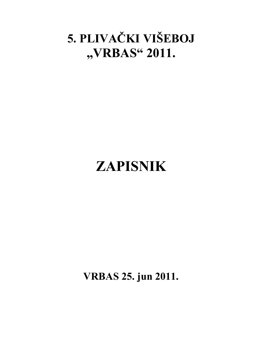## **5. PLIVAČKI VIŠEBOJ "VRBAS" 2011.**

# **ZAPISNIK**

**VRBAS 25. jun 2011.**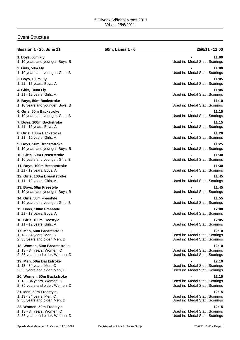### Event Structure

| <b>Session 1 - 25. June 11</b>                                                               | 50m, Lanes 1 - 6 | 25/6/11 - 11:00                                                           |
|----------------------------------------------------------------------------------------------|------------------|---------------------------------------------------------------------------|
| 1. Boys, 50m Fly<br>1. 10 years and younger, Boys, B                                         |                  | 11:00<br>Used in: Medal Stat., Scorings                                   |
| 2. Girls, 50m Fly<br>1. 10 years and younger, Girls, B                                       |                  | 11:00<br>Used in: Medal Stat., Scorings                                   |
| 3. Boys, 100m Fly<br>1. 11 - 12 years, Boys, A                                               |                  | 11:05<br>Used in: Medal Stat., Scorings                                   |
| 4. Girls, 100m Fly<br>1. 11 - 12 years, Girls, A                                             |                  | 11:05<br>Used in: Medal Stat., Scorings                                   |
| 5. Boys, 50m Backstroke<br>1. 10 years and younger, Boys, B                                  |                  | 11:10<br>Used in: Medal Stat., Scorings                                   |
| 6. Girls, 50m Backstroke<br>1. 10 years and younger, Girls, B                                |                  | 11:15<br>Used in: Medal Stat., Scorings                                   |
| 7. Boys, 100m Backstroke<br>1. 11 - 12 years, Boys, A                                        |                  | 11:15<br>Used in: Medal Stat., Scorings                                   |
| 8. Girls, 100m Backstroke<br>1. 11 - 12 years, Girls, A                                      |                  | 11:20<br>Used in: Medal Stat., Scorings                                   |
| 9. Boys, 50m Breaststroke<br>1. 10 years and younger, Boys, B                                |                  | 11:25<br>Used in: Medal Stat., Scorings                                   |
| 10. Girls, 50m Breaststroke<br>1. 10 years and younger, Girls, B                             |                  | 11:30<br>Used in: Medal Stat., Scorings                                   |
| 11. Boys, 100m Breaststroke<br>1. 11 - 12 years, Boys, A                                     |                  | 11:30<br>Used in: Medal Stat., Scorings                                   |
| 12. Girls, 100m Breaststroke<br>1. 11 - 12 years, Girls, A                                   |                  | 11:45<br>Used in: Medal Stat., Scorings                                   |
| 13. Boys, 50m Freestyle<br>1. 10 years and younger, Boys, B                                  |                  | 11:45<br>Used in: Medal Stat., Scorings                                   |
| 14. Girls, 50m Freestyle<br>1. 10 years and younger, Girls, B                                |                  | 11:55<br>Used in: Medal Stat., Scorings                                   |
| 15. Boys, 100m Freestyle<br>1. 11 - 12 years, Boys, A                                        |                  | 12:00<br>Used in: Medal Stat., Scorings                                   |
| 16. Girls, 100m Freestyle<br>1. 11 - 12 years, Girls, A                                      |                  | 12:05<br>Used in: Medal Stat., Scorings                                   |
| 17. Men, 50m Breaststroke<br>1. 13 - 34 years, Men, C                                        |                  | 12:10<br>Used in: Medal Stat., Scorings                                   |
| 2. 35 years and older, Men, D                                                                |                  | Used in: Medal Stat., Scorings                                            |
| 18. Women, 50m Breaststroke<br>1. 13 - 34 years, Women, C<br>2. 35 years and older, Women, D |                  | 12:10<br>Used in: Medal Stat., Scorings<br>Used in: Medal Stat., Scorings |
| 19. Men, 50m Backstroke<br>1. 13 - 34 years, Men, C<br>2. 35 years and older, Men, D         |                  | 12:10<br>Used in: Medal Stat., Scorings<br>Used in: Medal Stat., Scorings |
| 20. Women, 50m Backstroke<br>1. 13 - 34 years, Women, C<br>2. 35 years and older, Women, D   |                  | 12:15<br>Used in: Medal Stat., Scorings<br>Used in: Medal Stat., Scorings |
| 21. Men, 50m Freestyle<br>1. 13 - 34 years, Men, C<br>2. 35 years and older, Men, D          |                  | 12:15<br>Used in: Medal Stat., Scorings<br>Used in: Medal Stat., Scorings |
| 22. Women, 50m Freestyle<br>1. 13 - 34 years, Women, C<br>2. 35 years and older, Women, D    |                  | 12:15<br>Used in: Medal Stat., Scorings<br>Used in: Medal Stat., Scorings |
|                                                                                              |                  |                                                                           |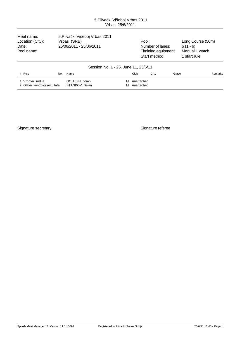Meet name: 5.Pliva ki Višeboj Vrbas 2011<br>Location (City): Vrbas (SRB) Location (City): Vrbas (SRB) <br>Date: 25/06/2011 - 25/06/2011 25/06/2011 Number of lanes: 6 (1 - 6) Date: 25/06/2011 - 25/06/2011 <br>
Pool name: 6 (1 - 6)<br>
Pool name: Manual 1 watch

Timining equipment: Start method: 1 start rule

| Session No. 1 - 25. June 11, 25/6/11             |                                  |        |                          |      |       |         |  |
|--------------------------------------------------|----------------------------------|--------|--------------------------|------|-------|---------|--|
| # Role<br>No.                                    | Name                             |        | Club                     | Citv | Grade | Remarks |  |
| 1 Vrhovni sudija<br>2 Glavni kontrolor rezultata | GOLUSIN, Zoran<br>STANKOV, Dejan | м<br>м | unattached<br>unattached |      |       |         |  |

Signature secretary **Signature referee**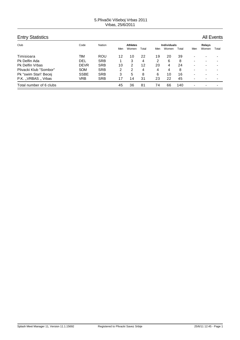| <b>Entry Statistics</b> |             |            |     |                 |       |     |                    |       |                          |                          | <b>All Events</b> |
|-------------------------|-------------|------------|-----|-----------------|-------|-----|--------------------|-------|--------------------------|--------------------------|-------------------|
| Club                    | Code        | Nation     |     | <b>Athletes</b> |       |     | <b>Individuals</b> |       |                          | Relays                   |                   |
|                         |             |            | Men | Women           | Total | Men | Women              | Total | Men                      | Women                    | Total             |
| Timisioara              | TIM         | ROU        | 12  | 10              | 22    | 19  | 20                 | 39    | $\overline{\phantom{0}}$ | $\overline{\phantom{0}}$ |                   |
| Pk Delfin Ada           | DEL         | <b>SRB</b> |     | 3               | 4     | 2   | 6                  | 8     | $\overline{\phantom{0}}$ | $\overline{\phantom{0}}$ |                   |
| <b>Pk Delfin Vrbas</b>  | <b>DEVR</b> | <b>SRB</b> | 10  | $\mathcal{P}$   | 12    | 20  | 4                  | 24    | $\overline{\phantom{0}}$ | $\overline{\phantom{0}}$ |                   |
| Plivacki Klub "Sombor"  | <b>SOM</b>  | <b>SRB</b> | 2   | 2               | 4     | 4   | 4                  | 8     | -                        |                          |                   |
| Pk "swim Star\' Becej   | <b>SSBE</b> | <b>SRB</b> | 3   | 5               | 8     | 6   | 10                 | 16    | $\overline{\phantom{0}}$ | ٠                        |                   |
| P.K. ., VRBAS ., Vrbas  | VRB         | <b>SRB</b> | 17  | 14              | 31    | 23  | 22                 | 45    | $\overline{\phantom{0}}$ |                          |                   |
| Total number of 6 clubs |             |            | 45  | 36              | 81    | 74  | 66                 | 140   | $\overline{\phantom{0}}$ | $\overline{\phantom{0}}$ |                   |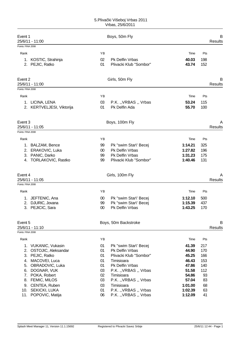| Event 1<br>25/6/11 - 11:00 |                                              |          | Boys, 50m Fly                                    |                |            | B<br><b>Results</b> |
|----------------------------|----------------------------------------------|----------|--------------------------------------------------|----------------|------------|---------------------|
| Points: FINA 2008          |                                              |          |                                                  |                |            |                     |
| Rank                       |                                              | YB       |                                                  | Time           | Pts        |                     |
| 1.                         | KOSTIC, Strahinja<br>2. PEJIC, Ratko         | 02<br>01 | <b>Pk Delfin Vrbas</b><br>Plivacki Klub "Sombor" | 40.03<br>43.74 | 198<br>152 |                     |
| Event 2<br>25/6/11 - 11:00 |                                              |          | Girls, 50m Fly                                   |                |            | в<br>Results        |
| Points: FINA 2008          |                                              |          |                                                  |                |            |                     |
| Rank                       |                                              | YB       |                                                  | Time           | Pts        |                     |
|                            | 1. LICINA, LENA<br>2. KERTVELJESI, Viktorija | 03<br>01 | P.K. "VRBAS " Vrbas<br>Pk Delfin Ada             | 53.24<br>55.70 | 115<br>100 |                     |
| Event 3<br>25/6/11 - 11:05 |                                              |          | Boys, 100m Fly                                   |                |            | Α<br>Results        |
| Points: FINA 2008          |                                              |          |                                                  |                |            |                     |
| Rank                       |                                              | ΥB       |                                                  | Time           | Pts        |                     |
|                            | 1. BALZAM, Bence                             | 99       | Pk "swim Star\' Becej                            | 1:14.21        | 325        |                     |
| 2.                         | ERAKOVIC, Luka                               | 00       | <b>Pk Delfin Vrbas</b>                           | 1:27.82        | 196        |                     |
|                            | 3. PANIC, Darko                              | 99       | <b>Pk Delfin Vrbas</b>                           | 1:31.23        | 175        |                     |
|                            | 4. TORLAKOVIC, Rastko                        | 99       | Plivacki Klub "Sombor"                           | 1:40.46        | 131        |                     |
| Event 4<br>25/6/11 - 11:05 |                                              |          | Girls, 100m Fly                                  |                |            | Α<br>Results        |
| Points: FINA 2008          |                                              |          |                                                  |                |            |                     |
| Rank                       |                                              | ΥB       |                                                  | Time           | Pts        |                     |
| 1.                         | JEFTENIC, Ana                                | $00\,$   | Pk "swim Star\' Becej                            | 1:12.10        | 500        |                     |
|                            | 2. DJURIC, Jovana                            | 99       | Pk "swim Star\' Becej                            | 1:15.39        | 437        |                     |
|                            | 3. PEJICIC, Sara                             | 00       | <b>Pk Delfin Vrbas</b>                           | 1:43.25        | 170        |                     |
| Event 5                    |                                              |          | Boys, 50m Backstroke                             |                |            | B                   |
| 25/6/11 - 11:10            |                                              |          |                                                  |                |            | <b>Results</b>      |
| Points: FINA 2008          |                                              |          |                                                  |                |            |                     |
| Rank                       |                                              | YB       |                                                  | Time           | Pts        |                     |
|                            | 1. VUKANIC, Vukasin                          | 01       | Pk "swim Star\' Becej                            | 41.39          | 217        |                     |
|                            | 2. OSTOJIC, Aleksandar                       | 01       | <b>Pk Delfin Vrbas</b>                           | 44.90          | 170        |                     |
|                            | 3. PEJIC, Ratko                              | 01       | Plivacki Klub "Sombor"                           | 45.25          | 166        |                     |
|                            | 4. MACOVEI, Luca                             | 01       | Timisioara                                       | 46.43          | 153        |                     |
|                            | 5. OBRADOVIC, Luka                           | 01       | Pk Delfin Vrbas                                  | 47.86          | 140        |                     |
|                            | 6. DOGNAR, VUK                               | 03       | P.K. "VRBAS " Vrbas                              | 51.58          | 112        |                     |
|                            | 7. POKA, Robert                              | 02<br>03 | Timisioara                                       | 54.86<br>57.04 | 93<br>83   |                     |
|                            | 8. FEMIC, MILOS                              | 03       | P.K. "VRBAS " Vrbas<br>Timisioara                | 1:01.00        | 68         |                     |
|                            | 9. CENTEA, Ruben<br>10. SEKICKI, LUKA        | 01       | P.K. "VRBAS " Vrbas                              | 1:02.39        | 63         |                     |
| 11.                        | POPOVIC, Matija                              | 06       | P.K. "VRBAS " Vrbas                              | 1:12.09        | 41         |                     |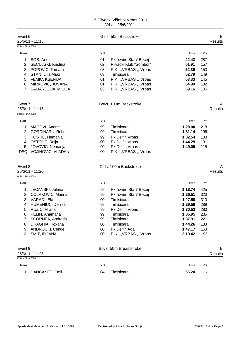| Event 6           | 25/6/11 - 11:15       |        | Girls, 50m Backstroke  |         |     | B<br><b>Results</b> |
|-------------------|-----------------------|--------|------------------------|---------|-----|---------------------|
| Points: FINA 2008 |                       |        |                        |         |     |                     |
| Rank              |                       | YB     |                        | Time    | Pts |                     |
|                   | 1. SOS, Anet          | 01     | Pk "swim Star\' Becej  | 42.43   | 287 |                     |
|                   | 2. SECUJSKI, Kristina | 02     | Plivacki Klub "Sombor" | 51.91   | 157 |                     |
|                   | 3. POPOVIC, Tamara    | 03     | P.K. "VRBAS " Vrbas    | 52.36   | 153 |                     |
|                   | 4. STAN, Lilla Aliaz  | 03     | Timisioara             | 52.79   | 149 |                     |
|                   | 5. FEMIC, KSENIJA     | 01     | P.K. "VRBAS " Vrbas    | 53.33   | 145 |                     |
|                   | 6. MIRKOVIC, JOVANA   | 01     | P.K. "VRBAS " Vrbas    | 54.99   | 132 |                     |
|                   | 7. SAMARDZIJA, MILICA | 03     | P.K. "VRBAS " Vrbas    | 59.16   | 106 |                     |
| Event 7           |                       |        | Boys, 100m Backstroke  |         |     | A                   |
|                   | 25/6/11 - 11:15       |        |                        |         |     | <b>Results</b>      |
| Points: FINA 2008 |                       |        |                        |         |     |                     |
| Rank              |                       | ΥB     |                        | Time    | Pts |                     |
|                   | 1. MACOVI, Andrei     | 99     | Timisioara             | 1:28.00 | 218 |                     |
|                   | 2. GORDINARU, Robert  | 99     | Timisioara             | 1:31.14 | 196 |                     |
|                   | 3. KOSTIC, Nemanja    | 99     | <b>Pk Delfin Vrbas</b> | 1:32.54 | 188 |                     |
|                   | 4. OSTOJIC, Relja     | $00\,$ | Pk Delfin Vrbas        | 1:44.29 | 131 |                     |
|                   | 5. JOVOVIC, Nemanja   | $00\,$ | Pk Delfin Vrbas        | 1:49.09 | 115 |                     |
|                   | DSQ VOJINOVIC, VLADAN | $00\,$ | P.K. "VRBAS " Vrbas    |         |     |                     |
| Event 8           |                       |        | Girls, 100m Backstroke |         |     | A                   |
|                   | 25/6/11 - 11:20       |        |                        |         |     | Results             |
| Points: FINA 2008 |                       |        |                        |         |     |                     |
| Rank              |                       | ΥB     |                        | Time    | Pts |                     |
|                   | 1. JECANSKI, Jelena   | 99     | Pk "swim Star\' Becej  | 1:18.74 | 425 |                     |
|                   | 2. COLAKOVIC, Marina  | 99     | Pk "swim Star\' Becej  | 1:26.51 | 320 |                     |
|                   | 3. VARADI, Ela        | 00     | Timisioara             | 1:27.50 | 310 |                     |
|                   | 4. HUMENIUC, Denisa   | 99     | Timisioara             | 1:29.56 | 289 |                     |
|                   | 5. RUZIC, Milana      | 99     | Pk Delfin Vrbas        | 1:30.52 | 280 |                     |
|                   | 6. PELIN, Anamaria    | 99     | Timisioara             | 1:35.95 | 235 |                     |
| 7.                | SCORNEA, Andrada      | 99     | Timisioara             | 1:37.91 | 221 |                     |
| 8.                | DRAGHIA, Roxana       | 00     | Timisioara             | 1:44.26 | 183 |                     |
|                   | 9. ANDROCKI, Cenge    | 00     | Pk Delfin Ada          | 1:47.17 | 168 |                     |
| 10.               | SMIT, IDIJANA         | $00\,$ | P.K. "VRBAS " Vrbas    | 2:10.42 | 93  |                     |
| Event 9           |                       |        | Boys, 50m Breaststroke |         |     | В                   |
|                   | 25/6/11 - 11:25       |        |                        |         |     | <b>Results</b>      |
| Points: FINA 2008 |                       |        |                        |         |     |                     |
| Rank              |                       | YB     |                        | Time    | Pts |                     |
| 1.                | DANCANET, Emil        | 04     | Timisioara             | 56.24   | 116 |                     |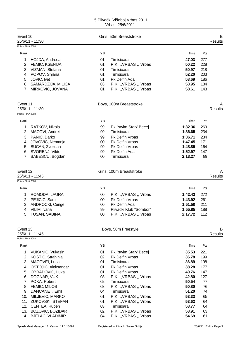| Event 10          | 25/6/11 - 11:30                     |          | Girls, 50m Breaststroke                    |                |          | B<br><b>Results</b> |
|-------------------|-------------------------------------|----------|--------------------------------------------|----------------|----------|---------------------|
| Points: FINA 2008 |                                     |          |                                            |                |          |                     |
| Rank              |                                     | YB       |                                            | Time           | Pts      |                     |
|                   | 1. HOJDA, Andreea                   | 01       | Timisioara                                 | 47.03          | 277      |                     |
|                   | 2. FEMIC, KSENIJA                   | 01       | P.K. "VRBAS " Vrbas                        | 50.22          | 228      |                     |
|                   | 3. VIZMAN, Stefana                  | 01       | Timisioara                                 | 50.97          | 218      |                     |
|                   | 4. POPOV, Snjana                    | 01       | Timisioara                                 | 52.20          | 203      |                     |
|                   | 5. JOVIC, Ivet                      | 01       | Pk Delfin Ada                              | 53.69          | 186      |                     |
|                   | 6. SAMARDZIJA, MILICA               | 03       | P.K. "VRBAS " Vrbas                        | 53.95          | 184      |                     |
|                   | 7. MIRKOVIC, JOVANA                 | 01       | P.K. "VRBAS " Vrbas                        | 58.61          | 143      |                     |
| Event 11          |                                     |          | Boys, 100m Breaststroke                    |                |          | A                   |
|                   | 25/6/11 - 11:30                     |          |                                            |                |          | <b>Results</b>      |
| Points: FINA 2008 |                                     |          |                                            |                |          |                     |
| Rank              |                                     | YB       |                                            | Time           | Pts      |                     |
|                   | 1. RATKOV, Nikola                   | 99       | Pk "swim Star\' Becej                      | 1:32.36        | 269      |                     |
|                   | 2. MACOVI, Andrei                   | 99       | Timisioara                                 | 1:36.65        | 234      |                     |
| 3.                | PANIC, Darko                        | 99       | Pk Delfin Vrbas                            | 1:36.71        | 234      |                     |
| 4.                | JOVOVIC, Nemanja                    | $00\,$   | Pk Delfin Vrbas                            | 1:47.45        | 171      |                     |
|                   | 5. BUCAN, Zvezdan                   | 99       | Pk Delfin Vrbas                            | 1:48.89        | 164      |                     |
|                   | 6. SVORENJ, Viktor                  | 99       | Pk Delfin Ada                              | 1:52.97        | 147      |                     |
|                   | 7. BABESCU, Bogdan                  | $00\,$   | Timisioara                                 | 2:13.27        | 89       |                     |
| Event 12          |                                     |          | Girls, 100m Breaststroke                   |                |          | A                   |
|                   | 25/6/11 - 11:45                     |          |                                            |                |          | <b>Results</b>      |
| Points: FINA 2008 |                                     |          |                                            |                |          |                     |
| Rank              |                                     | ΥB       |                                            | Time           | Pts      |                     |
| 1.                | ROMODA, LAURA                       | $00\,$   | P.K. "VRBAS " Vrbas                        | 1:42.43        | 272      |                     |
| 2.                | PEJICIC, Sara                       | $00\,$   | Pk Delfin Vrbas                            | 1:43.92        | 261      |                     |
|                   | 3. ANDROCKI, Cenge                  | $00\,$   | Pk Delfin Ada                              | 1:51.50        | 211      |                     |
|                   | 4. VILIM, Ivana                     | 99       | Plivacki Klub "Sombor"                     | 1:55.85        | 188      |                     |
|                   | 5. TUSAN, SABINA                    | 00       | P.K. "VRBAS " Vrbas                        | 2:17.72        | 112      |                     |
| Event 13          | 25/6/11 - 11:45                     |          | Boys, 50m Freestyle                        |                |          | B<br><b>Results</b> |
| Points: FINA 2008 |                                     |          |                                            |                |          |                     |
| Rank              |                                     | ΥB       |                                            | Time           | Pts      |                     |
| 1.                | VUKANIC, Vukasin                    | 01       | Pk "swim Star\' Becej                      | 35.53          | 221      |                     |
|                   | 2. KOSTIC, Strahinja                | 02       | Pk Delfin Vrbas                            | 36.78          | 199      |                     |
| 3.                | MACOVEI, Luca                       | 01       | Timisioara                                 | 36.89          | 198      |                     |
| 4.                | OSTOJIC, Aleksandar                 | 01       | Pk Delfin Vrbas                            | 38.28          | 177      |                     |
| 5.                | OBRADOVIC, Luka                     | 01       | Pk Delfin Vrbas                            | 40.76          | 147      |                     |
| 6.                | DOGNAR, VUK                         | 03       | P.K. "VRBAS " Vrbas                        | 42.80          | 127      |                     |
| 7.                | POKA, Robert                        | 02       | Timisioara                                 | 50.54          | 77       |                     |
| 8.                | FEMIC, MILOS                        | 03       | P.K. "VRBAS " Vrbas                        | 50.80<br>51.20 | 76<br>74 |                     |
| 9.                | DANCANET, Emil                      | 04       | Timisioara                                 |                |          |                     |
| 10.<br>11.        | MILJEVIC, MARKO<br>ZUKOVSKI, STEFAN | 01<br>01 | P.K. "VRBAS " Vrbas<br>P.K. "VRBAS " Vrbas | 53.33<br>53.62 | 65<br>64 |                     |
| 12.               | CENTEA, Ruben                       | 03       | Timisioara                                 | 53.77          | 64       |                     |
| 13.               | BOZOVIC, BOZIDAR                    | 02       | P.K. "VRBAS " Vrbas                        | 53.91          | 63       |                     |
|                   | 14. BJELAC, VLADIMIR                | 04       | P.K. "VRBAS " Vrbas                        | 54.69          | 61       |                     |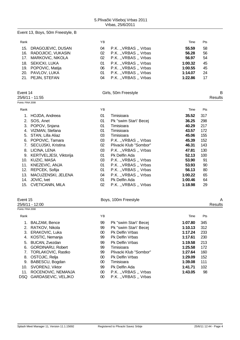Event 13, Boys, 50m Freestyle, B

| Rank |                        | YB |                     | Time    | Pts |
|------|------------------------|----|---------------------|---------|-----|
|      | 15. DRAGOJEVIC, DUSAN  | 04 | P.K. "VRBAS " Vrbas | 55.59   | 58  |
|      | 16. RADOJICIC, VUKASIN | 02 | P.K. "VRBAS " Vrbas | 56.28   | 56  |
|      | 17. MARKOVIC, NIKOLA   | 02 | P.K. "VRBAS "Vrbas  | 56.97   | 54  |
|      | 18. SEKICKI, LUKA      | 01 | P.K. "VRBAS " Vrbas | 1:00.32 | 45  |
|      | 19. POPOVIC, Matija    | 06 | P.K. "VRBAS " Vrbas | 1:00.55 | 45  |
|      | 20. PAVLOV, LUKA       | 01 | P.K. "VRBAS " Vrbas | 1:14.07 | 24  |
|      | 21. PEJIN, STEFAN      | 04 | P.K. "VRBAS " Vrbas | 1:22.86 | 17  |
|      |                        |    |                     |         |     |

| Event 14          | Girls, 50m Freestyle |         |
|-------------------|----------------------|---------|
| 25/6/11 - 11:55   |                      | Results |
| Points: FINA 2008 |                      |         |

|                        | YB |                        | Time    | Pts |  |
|------------------------|----|------------------------|---------|-----|--|
| HOJDA, Andreea         | 01 | Timisioara             | 35.52   | 317 |  |
| 2. SOS, Anet           | 01 | Pk "swim Star\' Becej  | 36.25   | 298 |  |
| POPOV, Snjana          | 01 | Timisioara             | 40.29   | 217 |  |
| VIZMAN, Stefana        | 01 | Timisioara             | 43.57   | 172 |  |
| STAN, Lilla Aliaz      | 03 | Timisioara             | 45.06   | 155 |  |
| POPOVIC, Tamara        | 03 | P.K. "VRBAS "Vrbas     | 45.39   | 152 |  |
| 7. SECUJSKI, Kristina  | 02 | Plivacki Klub "Sombor" | 46.31   | 143 |  |
| LICINA, LENA           | 03 | P.K. "VRBAS " Vrbas    | 47.81   | 130 |  |
| KERTVELJESI, Viktorija | 01 | Pk Delfin Ada          | 52.13   | 100 |  |
| 10. KUZIC, MASA        | 03 | P.K. "VRBAS " Vrbas    | 53.90   | 91  |  |
| KNEZEVIC, ANJA         | 01 | P.K., VRBAS, Vrbas     | 53.93   | 90  |  |
| REPCEK, Sofija         | 01 | P.K. "VRBAS " Vrbas    | 56.13   | 80  |  |
| MACUZENSKI, JELENA     | 04 | P.K. "VRBAS " Vrbas    | 1:00.22 | 65  |  |
| JOVIC, Ivet            | 01 | Pk Delfin Ada          | 1:00.46 | 64  |  |
| 15. CVETICANIN, MILA   | 02 | P.K. "VRBAS " Vrbas    | 1:18.98 | 29  |  |
|                        |    |                        |         |     |  |

### Event 15 **Boys, 100m Freestyle Boys**, 100m Freestyle **A**

| 25/6/1<br>2:00         | uits |
|------------------------|------|
| Points: FINA 2008<br>. |      |

| Rank |                          | ΥB     |                        | Time    | Pts |
|------|--------------------------|--------|------------------------|---------|-----|
| 1.   | BALZAM, Bence            | 99     | Pk "swim Star\' Becej  | 1:07.80 | 345 |
|      | 2. RATKOV, Nikola        | 99     | Pk "swim Star\' Becej  | 1:10.13 | 312 |
| 3.   | ERAKOVIC, Luka           | $00\,$ | <b>Pk Delfin Vrbas</b> | 1:17.24 | 233 |
| 4.   | KOSTIC, Nemanja          | 99     | <b>Pk Delfin Vrbas</b> | 1:17.61 | 230 |
|      | 5. BUCAN, Zvezdan        | 99     | <b>Pk Delfin Vrbas</b> | 1:19.58 | 213 |
| 6.   | <b>GORDINARU, Robert</b> | 99     | Timisioara             | 1:25.58 | 172 |
|      | 7. TORLAKOVIC, Rastko    | 99     | Plivacki Klub "Sombor" | 1:27.64 | 160 |
|      | 8. OSTOJIC, Relja        | 00     | <b>Pk Delfin Vrbas</b> | 1:29.09 | 152 |
| 9.   | BABESCU, Bogdan          | 00     | Timisioara             | 1:39.08 | 111 |
| 10.  | SVORENJ, Viktor          | 99     | Pk Delfin Ada          | 1:41.71 | 102 |
| 11.  | ROCENOVIC, NEMANJA       | 00     | P.K. "VRBAS " Vrbas    | 1:43.05 | 98  |
|      | DSQ GARDASEVIC, VELJKO   | 00     | P.K. "VRBAS " Vrbas    |         |     |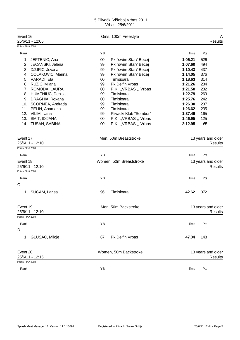| Event 16<br>25/6/11 - 12:05          |        | Girls, 100m Freestyle   |         | A<br><b>Results</b>                  |
|--------------------------------------|--------|-------------------------|---------|--------------------------------------|
| Points: FINA 2008                    |        |                         |         |                                      |
| Rank                                 | YB     |                         | Time    | Pts                                  |
| 1. JEFTENIC, Ana                     | $00\,$ | Pk "swim Star\' Becej   | 1:06.21 | 526                                  |
| JECANSKI, Jelena<br>2.               | 99     | Pk "swim Star\' Becej   | 1:07.60 | 494                                  |
| DJURIC, Jovana<br>3.                 | 99     | Pk "swim Star\' Becej   | 1:10.43 | 437                                  |
| COLAKOVIC, Marina<br>4.              | 99     | Pk "swim Star\' Becej   | 1:14.05 | 376                                  |
| VARADI, Ela<br>5.                    | 00     | Timisioara              | 1:18.63 | 314                                  |
| RUZIC, Milana<br>6.                  | 99     | Pk Delfin Vrbas         | 1:21.26 | 284                                  |
| ROMODA, LAURA<br>7.                  | $00\,$ | P.K. "VRBAS " Vrbas     | 1:21.50 | 282                                  |
| HUMENIUC, Denisa<br>8.               | 99     | Timisioara              | 1:22.79 | 269                                  |
| 9. DRAGHIA, Roxana                   | 00     | Timisioara              | 1:25.76 | 242                                  |
| 10. SCORNEA, Andrada                 | 99     | Timisioara              | 1:26.30 | 237                                  |
| 11. PELIN, Anamaria                  | 99     | Timisioara              | 1:26.62 | 235                                  |
| 12. VILIM, Ivana                     | 99     | Plivacki Klub "Sombor"  | 1:37.49 | 165                                  |
| 13.<br>SMIT, IDIJANA                 | $00\,$ | P.K. "VRBAS " Vrbas     | 1:46.95 | 125                                  |
| 14. TUSAN, SABINA                    | 00     | P.K. "VRBAS " Vrbas     | 2:12.95 | 65                                   |
| Event 17<br>25/6/11 - 12:10          |        | Men, 50m Breaststroke   |         | 13 years and older<br>Results        |
| Points: FINA 2008                    |        |                         |         |                                      |
| Rank                                 | YB     |                         | Time    | Pts                                  |
| Event 18                             |        | Women, 50m Breaststroke |         | 13 years and older                   |
| 25/6/11 - 12:10<br>Points: FINA 2008 |        |                         |         | Results                              |
| Rank                                 | ΥB     |                         | Time    | Pts                                  |
| C                                    |        |                         |         |                                      |
| 1. SUCAM, Larisa                     | 96     | Timisioara              | 42.62   | 372                                  |
| Event 19<br>25/6/11 - 12:10          |        | Men, 50m Backstroke     |         | 13 years and older<br>Results        |
| Points: FINA 2008                    |        |                         |         |                                      |
| Rank                                 | ΥB     |                         | Time    | Pts                                  |
| D                                    |        |                         |         |                                      |
| 1. GLUSAC, Miloje                    | 67     | Pk Delfin Vrbas         | 47.04   | 148                                  |
| Event 20<br>25/6/11 - 12:15          |        | Women, 50m Backstroke   |         | 13 years and older<br><b>Results</b> |
| Points: FINA 2008                    |        |                         |         |                                      |
| Rank                                 | ΥB     |                         | Time    | Pts                                  |